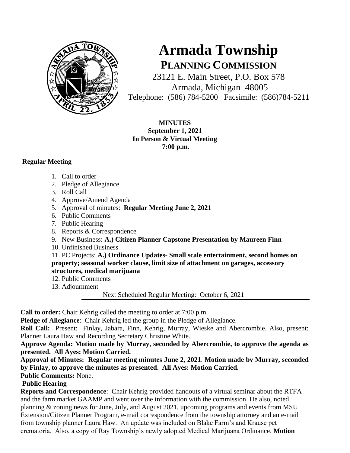

# **Armada Township PLANNING COMMISSION**

23121 E. Main Street, P.O. Box 578 Armada, Michigan 48005 Telephone: (586) 784-5200 Facsimile: (586)784-5211

**MINUTES September 1, 2021 In Person & Virtual Meeting 7:00 p.m**.

## **Regular Meeting**

- 1. Call to order
- 2. Pledge of Allegiance
- 3. Roll Call
- 4. Approve/Amend Agenda
- 5. Approval of minutes: **Regular Meeting June 2, 2021**
- 6. Public Comments
- 7. Public Hearing
- 8. Reports & Correspondence
- 9. New Business: **A.) Citizen Planner Capstone Presentation by Maureen Finn**
- 10. Unfinished Business

11. PC Projects: **A.) Ordinance Updates- Small scale entertainment, second homes on property; seasonal worker clause, limit size of attachment on garages, accessory structures, medical marijuana**

- 12. Public Comments
- 13. Adjournment

Next Scheduled Regular Meeting: October 6, 2021

**Call to order:** Chair Kehrig called the meeting to order at 7:00 p.m.

**Pledge of Allegiance**: Chair Kehrig led the group in the Pledge of Allegiance.

**Roll Call:** Present: Finlay, Jabara, Finn, Kehrig, Murray, Wieske and Abercrombie. Also, present: Planner Laura Haw and Recording Secretary Christine White.

**Approve Agenda: Motion made by Murray, seconded by Abercrombie, to approve the agenda as presented. All Ayes: Motion Carried.**

**Approval of Minutes: Regular meeting minutes June 2, 2021**. **Motion made by Murray, seconded by Finlay, to approve the minutes as presented. All Ayes: Motion Carried.** 

## **Public Comments:** None.

# **Public Hearing**

**Reports and Correspondence**: Chair Kehrig provided handouts of a virtual seminar about the RTFA and the farm market GAAMP and went over the information with the commission. He also, noted planning & zoning news for June, July, and August 2021, upcoming programs and events from MSU Extension/Citizen Planner Program, e-mail correspondence from the township attorney and an e-mail from township planner Laura Haw. An update was included on Blake Farm's and Krause pet crematoria. Also, a copy of Ray Township's newly adopted Medical Marijuana Ordinance. **Motion**